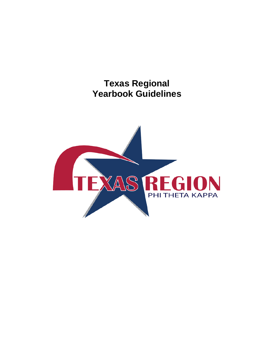# **Texas Regional Yearbook Guidelines**

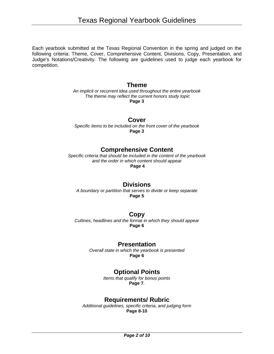Each yearbook submitted at the Texas Regional Convention in the spring and judged on the following criteria: Theme, Cover, Comprehensive Content, Divisions, Copy, Presentation, and Judge's Notations/Creativity. The following are guidelines used to judge each yearbook for competition.

### **Theme**

*An implicit or recurrent idea used throughout the entire yearbook The theme may reflect the current honors study topic* **Page 3**

**Cover**

*Specific items to be included on the front cover of the yearbook* **Page 3**

### **Comprehensive Content**

*Specific criteria that should be included in the content of the yearbook and the order in which content should appear* **Page 4**

### **Divisions**

*A boundary or partition that serves to divide or keep separate*  **Page 5**

### **Copy**

*Cutlines, headlines and the format in which they should appear*  **Page 6**

#### **Presentation**

*Overall state in which the yearbook is presented* **Page 6**

### **Optional Points**

*Items that qualify for bonus points* **Page 7***.*

### **Requirements/ Rubric**

*Additional guidelines, specific criteria, and judging form* **Page 8-10**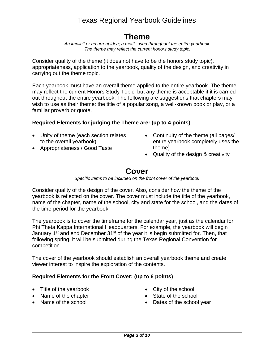## **Theme**

*An implicit or recurrent idea; a motif- used throughout the entire yearbook The theme may reflect the current honors study topic.*

Consider quality of the theme (it does not have to be the honors study topic), appropriateness, application to the yearbook, quality of the design, and creativity in carrying out the theme topic.

Each yearbook must have an overall theme applied to the entire yearbook. The theme may reflect the current Honors Study Topic, but any theme is acceptable if it is carried out throughout the entire yearbook. The following are suggestions that chapters may wish to use as their theme: the title of a popular song, a well-known book or play, or a familiar proverb or quote.

### **Required Elements for judging the Theme are: (up to 4 points)**

- Unity of theme (each section relates to the overall yearbook)
- Appropriateness / Good Taste
- Continuity of the theme (all pages/ entire yearbook completely uses the theme)
- Quality of the design & creativity

## **Cover**

*Specific items to be included on the front cover of the yearbook*

Consider quality of the design of the cover. Also, consider how the theme of the yearbook is reflected on the cover. The cover must include the title of the yearbook, name of the chapter, name of the school, city and state for the school, and the dates of the time-period for the yearbook.

The yearbook is to cover the timeframe for the calendar year, just as the calendar for Phi Theta Kappa International Headquarters. For example, the yearbook will begin January 1<sup>st</sup> and end December 31<sup>st</sup> of the year it is begin submitted for. Then, that following spring, it will be submitted during the Texas Regional Convention for competition.

The cover of the yearbook should establish an overall yearbook theme and create viewer interest to inspire the exploration of the contents.

#### **Required Elements for the Front Cover: (up to 6 points)**

- Title of the yearbook
- Name of the chapter
- Name of the school
- City of the school
- State of the school
- Dates of the school year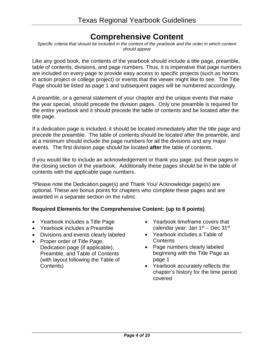## **Comprehensive Content**

*Specific criteria that should be included in the content of the yearbook and the order in which content should appear*

Like any good book, the contents of the yearbook should include a title page, preamble, table of contents, divisions, and page numbers. Thus, it is imperative that page numbers are included on every page to provide easy access to specific projects (such as honors in action project or college project) or events that the viewer might like to see. The Title Page should be listed as page 1 and subsequent pages will be numbered accordingly.

A preamble, or a general statement of your chapter and the unique events that make the year special, should precede the division pages. Only one preamble is required for the entire yearbook and it should precede the table of contents and be located after the title page.

If a dedication page is included, it should be located immediately after the title page and precede the preamble. The table of contents should be located after the preamble, and at a minimum should include the page numbers for all the divisions and any major events. The first division page should be located **after** the table of contents.

If you would like to include an acknowledgement or thank you page, put these pages in the closing section of the yearbook. Additionally these pages should be in the table of contents with the applicable page numbers.

\*Please note the Dedication page(s) and Thank You/ Acknowledge page(s) are optional. These are bonus points for chapters who complete these pages and are awarded in a separate section on the rubric.

#### **Required Elements for the Comprehensive Content: (up to 8 points)**

- Yearbook includes a Title Page
- Yearbook includes a Preamble
- Divisions and events clearly labeled
- Proper order of Title Page, Dedication page (if applicable), Preamble, and Table of Contents (with layout following the Table of Contents)
- Yearbook timeframe covers that calendar year: Jan  $1<sup>st</sup>$  – Dec  $31<sup>st</sup>$
- Yearbook includes a Table of **Contents**
- Page numbers clearly labeled beginning with the Title Page as page 1
- Yearbook accurately reflects the chapter's history for the time period covered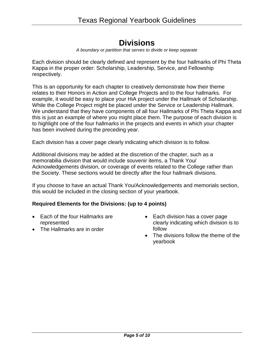# **Divisions**

*A boundary or partition that serves to divide or keep separate*

Each division should be clearly defined and represent by the four hallmarks of Phi Theta Kappa in the proper order: Scholarship, Leadership, Service, and Fellowship respectively.

This is an opportunity for each chapter to creatively demonstrate how their theme relates to their Honors in Action and College Projects and to the four hallmarks. For example, it would be easy to place your HiA project under the Hallmark of Scholarship. While the College Project might be placed under the Service or Leadership Hallmark. We understand that they have components of all four Hallmarks of Phi Theta Kappa and this is just an example of where you might place them. The purpose of each division is to highlight one of the four hallmarks in the projects and events in which your chapter has been involved during the preceding year.

Each division has a cover page clearly indicating which division is to follow.

Additional divisions may be added at the discretion of the chapter, such as a memorabilia division that would include souvenir items, a Thank You/ Acknowledgements division, or coverage of events related to the College rather than the Society. These sections would be directly after the four hallmark divisions.

If you choose to have an actual Thank You/Acknowledgements and memorials section, this would be included in the closing section of your yearbook.

### **Required Elements for the Divisions: (up to 4 points)**

- Each of the four Hallmarks are represented
- The Hallmarks are in order
- Each division has a cover page clearly indicating which division is to follow
- The divisions follow the theme of the yearbook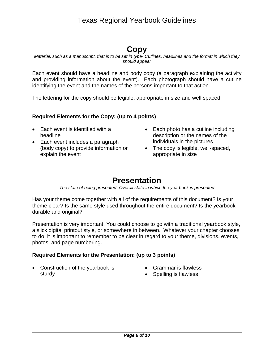## **Copy**

*Material, such as a manuscript, that is to be set in type- Cutlines, headlines and the format in which they should appear* 

Each event should have a headline and body copy (a paragraph explaining the activity and providing information about the event). Each photograph should have a cutline identifying the event and the names of the persons important to that action.

The lettering for the copy should be legible, appropriate in size and well spaced.

#### **Required Elements for the Copy: (up to 4 points)**

- Each event is identified with a headline
- Each event includes a paragraph (body copy) to provide information or explain the event
- Each photo has a cutline including description or the names of the individuals in the pictures
- The copy is legible, well-spaced, appropriate in size

## **Presentation**

*The state of being presented- Overall state in which the yearbook is presented*

Has your theme come together with all of the requirements of this document? Is your theme clear? Is the same style used throughout the entire document? Is the yearbook durable and original?

Presentation is very important. You could choose to go with a traditional yearbook style, a slick digital printout style, or somewhere in between. Whatever your chapter chooses to do, it is important to remember to be clear in regard to your theme, divisions, events, photos, and page numbering.

#### **Required Elements for the Presentation: (up to 3 points)**

- Construction of the yearbook is sturdy
- Grammar is flawless
- Spelling is flawless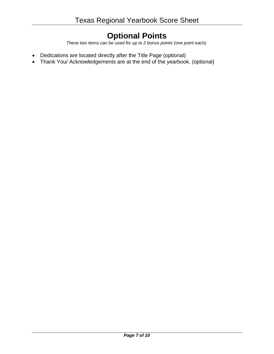# **Optional Points**

*These two items can be used for up to 2 bonus points (one point each).*

- Dedications are located directly after the Title Page (optional)
- Thank You/ Acknowledgements are at the end of the yearbook. (optional)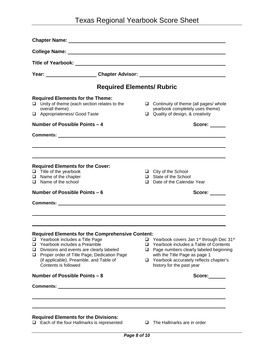# Texas Regional Yearbook Score Sheet

| Chapter Name: University of the Chapter Name:<br>College Name: <u>College Name:</u> College Name: 2008 |                                                                                                                                                                                                                             |               |                                                                                                                                                                                      |  |  |                                         |                                  |  |  |
|--------------------------------------------------------------------------------------------------------|-----------------------------------------------------------------------------------------------------------------------------------------------------------------------------------------------------------------------------|---------------|--------------------------------------------------------------------------------------------------------------------------------------------------------------------------------------|--|--|-----------------------------------------|----------------------------------|--|--|
|                                                                                                        |                                                                                                                                                                                                                             |               |                                                                                                                                                                                      |  |  | Year: Chapter Advisor: Chapter Advisor: |                                  |  |  |
|                                                                                                        |                                                                                                                                                                                                                             |               |                                                                                                                                                                                      |  |  |                                         | <b>Required Elements/ Rubric</b> |  |  |
|                                                                                                        | <b>Required Elements for the Theme:</b><br>$\Box$ Unity of theme (each section relates to the<br>overall theme)<br>Appropriateness/ Good Taste<br>Number of Possible Points - 4                                             | □             | $\Box$ Continuity of theme (all pages/ whole<br>yearbook completely uses theme)<br>Quality of design, & creativity<br>Score:                                                         |  |  |                                         |                                  |  |  |
|                                                                                                        | <b>Required Elements for the Cover:</b><br>$\Box$ Title of the yearbook<br>$\Box$ Name of the chapter                                                                                                                       |               | $\Box$ City of the School<br>□ State of the School                                                                                                                                   |  |  |                                         |                                  |  |  |
|                                                                                                        | $\Box$ Name of the school<br>Number of Possible Points - 6                                                                                                                                                                  |               | $\Box$ Date of the Calendar Year                                                                                                                                                     |  |  |                                         |                                  |  |  |
|                                                                                                        |                                                                                                                                                                                                                             |               | Score:                                                                                                                                                                               |  |  |                                         |                                  |  |  |
| ❏<br>❏                                                                                                 | <b>Required Elements for the Comprehensive Content:</b><br>Yearbook includes a Title Page<br>$\Box$ Yearbook includes a Preamble<br>Divisions and events are clearly labeled<br>Proper order of Title Page, Dedication Page | u.<br>◻<br>u. | Yearbook covers Jan 1 <sup>st</sup> through Dec 31 <sup>st</sup><br>Yearbook includes a Table of Contents<br>Page numbers clearly labeled beginning<br>with the Title Page as page 1 |  |  |                                         |                                  |  |  |
|                                                                                                        | (if applicable), Preamble, and Table of<br>Contents is followed<br>Number of Possible Points - 8                                                                                                                            | u.            | Yearbook accurately reflects chapter's<br>history for the past year<br>Score                                                                                                         |  |  |                                         |                                  |  |  |
|                                                                                                        |                                                                                                                                                                                                                             |               |                                                                                                                                                                                      |  |  |                                         |                                  |  |  |
|                                                                                                        | <b>Required Elements for the Divisions:</b><br>$\Box$ Each of the four Hallmarks is represented                                                                                                                             | u.            | The Hallmarks are in order                                                                                                                                                           |  |  |                                         |                                  |  |  |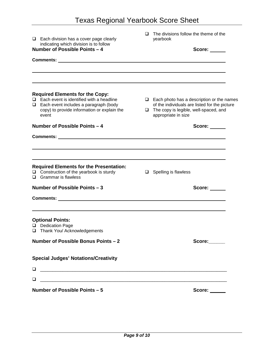| $\Box$ Each division has a cover page clearly<br>indicating which division is to follow<br>Number of Possible Points - 4                                                                                                                                                                                                                                                                         | The divisions follow the theme of the<br>◻<br>yearbook<br>Score:                                                                                                         |
|--------------------------------------------------------------------------------------------------------------------------------------------------------------------------------------------------------------------------------------------------------------------------------------------------------------------------------------------------------------------------------------------------|--------------------------------------------------------------------------------------------------------------------------------------------------------------------------|
| Comments: University of the Comments:                                                                                                                                                                                                                                                                                                                                                            |                                                                                                                                                                          |
| <b>Required Elements for the Copy:</b><br>Each event is identified with a headline<br>$\Box$ Each event includes a paragraph (body<br>copy) to provide information or explain the<br>event                                                                                                                                                                                                       | $\Box$ Each photo has a description or the names<br>of the individuals are listed for the picture<br>$\Box$ The copy is legible, well-spaced, and<br>appropriate in size |
| Number of Possible Points - 4                                                                                                                                                                                                                                                                                                                                                                    | Score:                                                                                                                                                                   |
| <b>Required Elements for the Presentation:</b><br>$\Box$ Construction of the yearbook is sturdy<br>$\Box$ Grammar is flawless<br>Number of Possible Points - 3<br>Comments: University of the Comments of the Comments of the Comments of the Comments of the Comments of the Comments of the Comments of the Comments of the Comments of the Comments of the Comments of the Comments of the Co | $\Box$ Spelling is flawless<br>Score:                                                                                                                                    |
| <b>Optional Points:</b><br>Dedication Page<br>Thank You/ Acknowledgements<br>Number of Possible Bonus Points - 2<br><b>Special Judges' Notations/Creativity</b>                                                                                                                                                                                                                                  | Score:                                                                                                                                                                   |
| u.<br>⊔                                                                                                                                                                                                                                                                                                                                                                                          |                                                                                                                                                                          |
| Number of Possible Points - 5                                                                                                                                                                                                                                                                                                                                                                    | Score: _____                                                                                                                                                             |